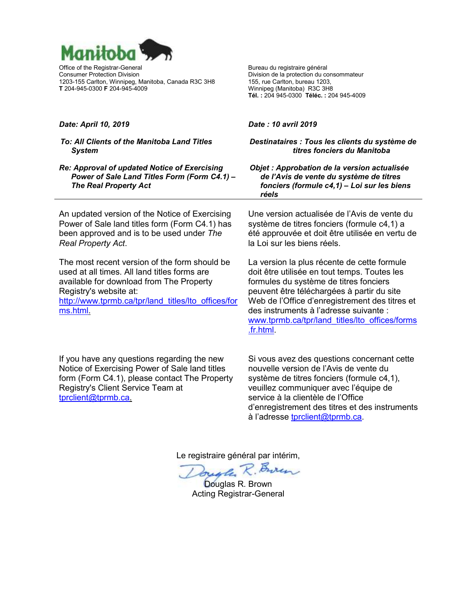

Office of the Registrar-General Consumer Protection Division 1203-155 Carlton, Winnipeg, Manitoba, Canada R3C 3H8 **T** 204-945-0300 **F** 204-945-4009

Bureau du registraire général Division de la protection du consommateur 155, rue Carlton, bureau 1203, Winnipeg (Manitoba) R3C 3H8 **Tél. :** 204 945-0300 **Téléc. :** 204 945-4009

#### *Date: April 10, 2019*

#### *To: All Clients of the Manitoba Land Titles System*

*Re: Approval of updated Notice of Exercising Power of Sale Land Titles Form (Form C4.1) – The Real Property Act*

An updated version of the Notice of Exercising Power of Sale land titles form (Form C4.1) has been approved and is to be used under *The Real Property Act*.

The most recent version of the form should be used at all times. All land titles forms are available for download from The Property Registry's website at: [http://www.tprmb.ca/tpr/land\\_titles/lto\\_offices/for](http://www.tprmb.ca/tpr/land_titles/lto_offices/forms.html) [ms.html.](http://www.tprmb.ca/tpr/land_titles/lto_offices/forms.html)

If you have any questions regarding the new Notice of Exercising Power of Sale land titles form (Form C4.1), please contact The Property Registry's Client Service Team at [tprclient@tprmb.ca.](mailto:tprclient@tprmb.ca)

#### *Date : 10 avril 2019*

*Destinataires : Tous les clients du système de titres fonciers du Manitoba*

*Objet : Approbation de la version actualisée de l'Avis de vente du système de titres fonciers (formule c4,1) – Loi sur les biens réels*

Une version actualisée de l'Avis de vente du système de titres fonciers (formule c4,1) a été approuvée et doit être utilisée en vertu de la Loi sur les biens réels.

La version la plus récente de cette formule doit être utilisée en tout temps. Toutes les formules du système de titres fonciers peuvent être téléchargées à partir du site Web de l'Office d'enregistrement des titres et des instruments à l'adresse suivante : [www.tprmb.ca/tpr/land\\_titles/lto\\_offices/forms](http://www.tprmb.ca/tpr/land_titles/lto_offices/forms.fr.html) [.fr.html.](http://www.tprmb.ca/tpr/land_titles/lto_offices/forms.fr.html)

Si vous avez des questions concernant cette nouvelle version de l'Avis de vente du système de titres fonciers (formule c4,1), veuillez communiquer avec l'équipe de service à la clientèle de l'Office d'enregistrement des titres et des instruments à l'adresse [tprclient@tprmb.ca.](mailto:tprclient@tprmb.ca)

Le registraire général par intérim,

Juste R. Buren

Douglas R. Brown Acting Registrar-General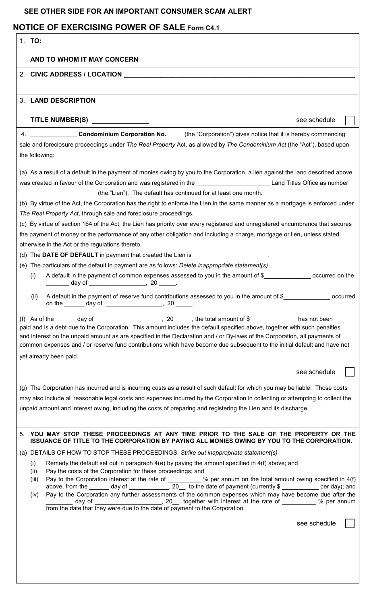## **SEE OTHER SIDE FOR AN IMPORTANT CONSUMER SCAM ALERT**

# **NOTICE OF EXERCISING POWER OF SALE Form C4.1**

| 1. TO:                                                                                                                                                                                                                                                                                                                                                                            |  |
|-----------------------------------------------------------------------------------------------------------------------------------------------------------------------------------------------------------------------------------------------------------------------------------------------------------------------------------------------------------------------------------|--|
| AND TO WHOM IT MAY CONCERN                                                                                                                                                                                                                                                                                                                                                        |  |
| 2. CIVIC ADDRESS / LOCATION <b>AND INTERNATION</b>                                                                                                                                                                                                                                                                                                                                |  |
|                                                                                                                                                                                                                                                                                                                                                                                   |  |
| 3. LAND DESCRIPTION                                                                                                                                                                                                                                                                                                                                                               |  |
| TITLE NUMBER(S) ______________<br>see schedule                                                                                                                                                                                                                                                                                                                                    |  |
|                                                                                                                                                                                                                                                                                                                                                                                   |  |
| 4. ______________________Condominium Corporation No. ______ (the "Corporation") gives notice that it is hereby commencing                                                                                                                                                                                                                                                         |  |
| sale and foreclosure proceedings under The Real Property Act, as allowed by The Condominium Act (the "Act"), based upon                                                                                                                                                                                                                                                           |  |
| the following:                                                                                                                                                                                                                                                                                                                                                                    |  |
| (a) As a result of a default in the payment of monies owing by you to the Corporation, a lien against the land described above                                                                                                                                                                                                                                                    |  |
| was created in favour of the Corporation and was registered in the <b>National Community Land Titles Office as number</b>                                                                                                                                                                                                                                                         |  |
| (the "Lien"). The default has continued for at least one month.                                                                                                                                                                                                                                                                                                                   |  |
| (b) By virtue of the Act, the Corporation has the right to enforce the Lien in the same manner as a mortgage is enforced under                                                                                                                                                                                                                                                    |  |
| The Real Property Act, through sale and foreclosure proceedings.                                                                                                                                                                                                                                                                                                                  |  |
| (c) By virtue of section 164 of the Act, the Lien has priority over every registered and unregistered encumbrance that secures                                                                                                                                                                                                                                                    |  |
| the payment of money or the performance of any other obligation and including a charge, mortgage or lien, unless stated                                                                                                                                                                                                                                                           |  |
| otherwise in the Act or the regulations thereto.                                                                                                                                                                                                                                                                                                                                  |  |
| (d) The DATE OF DEFAULT in payment that created the Lien is _____________________.                                                                                                                                                                                                                                                                                                |  |
| (e) The particulars of the default in payment are as follows: Delete inappropriate statement(s)                                                                                                                                                                                                                                                                                   |  |
| A default in the payment of common expenses assessed to you in the amount of \$<br>(i)<br>____ day of ____________________,  20 _____.                                                                                                                                                                                                                                            |  |
| occurred<br>(ii)                                                                                                                                                                                                                                                                                                                                                                  |  |
|                                                                                                                                                                                                                                                                                                                                                                                   |  |
| (f) As of the $\_\_\_\_$ day of $\_\_\_\_\_\_\_$ , 20 $\_\_\_\$ , the total amount of \$ $\_\_\_\_\_\_\_$ has not been<br>paid and is a debt due to the Corporation. This amount includes the default specified above, together with such penalties<br>and interest on the unpaid amount as are specified in the Declaration and / or By-laws of the Corporation, all payments of |  |
| common expenses and / or reserve fund contributions which have become due subsequent to the initial default and have not                                                                                                                                                                                                                                                          |  |
| yet already been paid.                                                                                                                                                                                                                                                                                                                                                            |  |
| see schedule                                                                                                                                                                                                                                                                                                                                                                      |  |
| (g) The Corporation has incurred and is incurring costs as a result of such default for which you may be liable. Those costs                                                                                                                                                                                                                                                      |  |
| may also include all reasonable legal costs and expenses incurred by the Corporation in collecting or attempting to collect the                                                                                                                                                                                                                                                   |  |
| unpaid amount and interest owing, including the costs of preparing and registering the Lien and its discharge.                                                                                                                                                                                                                                                                    |  |
|                                                                                                                                                                                                                                                                                                                                                                                   |  |
| 5. YOU MAY STOP THESE PROCEEDINGS AT ANY TIME PRIOR TO THE SALE OF THE PROPERTY OR THE<br>ISSUANCE OF TITLE TO THE CORPORATION BY PAYING ALL MONIES OWING BY YOU TO THE CORPORATION.                                                                                                                                                                                              |  |
|                                                                                                                                                                                                                                                                                                                                                                                   |  |
| (a) DETAILS OF HOW TO STOP THESE PROCEEDINGS: Strike out inappropriate statement(s)<br>Remedy the default set out in paragraph $4(e)$ by paying the amount specified in $4(f)$ above; and<br>(i)                                                                                                                                                                                  |  |
| Pay the costs of the Corporation for these proceedings; and<br>(ii)                                                                                                                                                                                                                                                                                                               |  |
| Pay to the Corporation interest at the rate of ________ % per annum on the total amount owing specified in 4(f) above, from the ______ day of ___________, 20__ to the date of payment (currently \$ __________ per day); and<br>(iii)                                                                                                                                            |  |
| Pay to the Corporation any further assessments of the common expenses which may have become due after the<br>(iv)<br>day of ________________________, 20__, together with interest at the rate of __________ % per annum<br>from the date that they were due to the date of payment to the Corporation.                                                                           |  |
| see schedule                                                                                                                                                                                                                                                                                                                                                                      |  |
|                                                                                                                                                                                                                                                                                                                                                                                   |  |
|                                                                                                                                                                                                                                                                                                                                                                                   |  |
|                                                                                                                                                                                                                                                                                                                                                                                   |  |
|                                                                                                                                                                                                                                                                                                                                                                                   |  |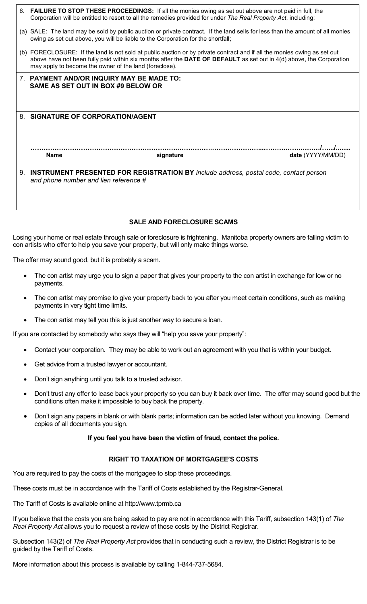| 6. | <b>FAILURE TO STOP THESE PROCEEDINGS:</b> If all the monies owing as set out above are not paid in full, the<br>Corporation will be entitled to resort to all the remedies provided for under The Real Property Act, including:                                                                            |
|----|------------------------------------------------------------------------------------------------------------------------------------------------------------------------------------------------------------------------------------------------------------------------------------------------------------|
|    | (a) SALE: The land may be sold by public auction or private contract. If the land sells for less than the amount of all monies<br>owing as set out above, you will be liable to the Corporation for the shortfall;                                                                                         |
|    | (b) FORECLOSURE: If the land is not sold at public auction or by private contract and if all the monies owing as set out<br>above have not been fully paid within six months after the DATE OF DEFAULT as set out in 4(d) above, the Corporation<br>may apply to become the owner of the land (foreclose). |
|    | 7. PAYMENT AND/OR INQUIRY MAY BE MADE TO:<br>SAME AS SET OUT IN BOX #9 BELOW OR                                                                                                                                                                                                                            |
|    |                                                                                                                                                                                                                                                                                                            |
|    | 8. SIGNATURE OF CORPORATION/AGENT                                                                                                                                                                                                                                                                          |
|    |                                                                                                                                                                                                                                                                                                            |
|    | <b>Name</b><br>date (YYYY/MM/DD)<br>signature                                                                                                                                                                                                                                                              |
| 9. | <b>INSTRUMENT PRESENTED FOR REGISTRATION BY</b> include address, postal code, contact person<br>and phone number and lien reference #                                                                                                                                                                      |
|    |                                                                                                                                                                                                                                                                                                            |
|    |                                                                                                                                                                                                                                                                                                            |
|    |                                                                                                                                                                                                                                                                                                            |

### **SALE AND FORECLOSURE SCAMS**

Losing your home or real estate through sale or foreclosure is frightening. Manitoba property owners are falling victim to con artists who offer to help you save your property, but will only make things worse.

The offer may sound good, but it is probably a scam.

- The con artist may urge you to sign a paper that gives your property to the con artist in exchange for low or no payments.
- The con artist may promise to give your property back to you after you meet certain conditions, such as making payments in very tight time limits.
- The con artist may tell you this is just another way to secure a loan.

If you are contacted by somebody who says they will "help you save your property":

- Contact your corporation. They may be able to work out an agreement with you that is within your budget.
- Get advice from a trusted lawyer or accountant.
- Don't sign anything until you talk to a trusted advisor.
- Don't trust any offer to lease back your property so you can buy it back over time. The offer may sound good but the conditions often make it impossible to buy back the property.
- Don't sign any papers in blank or with blank parts; information can be added later without you knowing. Demand copies of all documents you sign.

### **If you feel you have been the victim of fraud, contact the police.**

## **RIGHT TO TAXATION OF MORTGAGEE'S COSTS**

You are required to pay the costs of the mortgagee to stop these proceedings.

These costs must be in accordance with the Tariff of Costs established by the Registrar-General.

The Tariff of Costs is available online at http://www.tprmb.ca

If you believe that the costs you are being asked to pay are not in accordance with this Tariff, subsection 143(1) of *The Real Property Act* allows you to request a review of those costs by the District Registrar.

Subsection 143(2) of *The Real Property Act* provides that in conducting such a review, the District Registrar is to be guided by the Tariff of Costs.

More information about this process is available by calling 1-844-737-5684.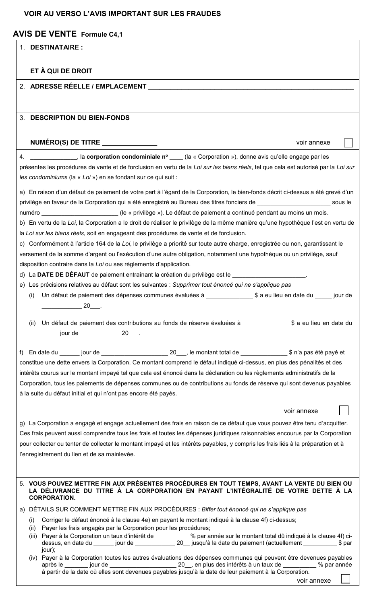## **VOIR AU VERSO L'AVIS IMPORTANT SUR LES FRAUDES**

# **AVIS DE VENTE Formule C4,1**

| <b>DESTINATAIRE:</b><br>1.<br>ET À QUI DE DROIT<br>2. ADRESSE RÉELLE / EMPLACEMENT<br><b>DESCRIPTION DU BIEN-FONDS</b><br>3.<br>NUMÉRO(S) DE TITRE ______________<br>voir annexe<br>a corporation condominiale n° _____ (la « Corporation »), donne avis qu'elle engage par les<br>4.<br>présentes les procédures de vente et de forclusion en vertu de la Loi sur les biens réels, tel que cela est autorisé par la Loi sur<br>les condominiums (la « Loi ») en se fondant sur ce qui suit : |
|-----------------------------------------------------------------------------------------------------------------------------------------------------------------------------------------------------------------------------------------------------------------------------------------------------------------------------------------------------------------------------------------------------------------------------------------------------------------------------------------------|
|                                                                                                                                                                                                                                                                                                                                                                                                                                                                                               |
|                                                                                                                                                                                                                                                                                                                                                                                                                                                                                               |
|                                                                                                                                                                                                                                                                                                                                                                                                                                                                                               |
|                                                                                                                                                                                                                                                                                                                                                                                                                                                                                               |
|                                                                                                                                                                                                                                                                                                                                                                                                                                                                                               |
|                                                                                                                                                                                                                                                                                                                                                                                                                                                                                               |
|                                                                                                                                                                                                                                                                                                                                                                                                                                                                                               |
|                                                                                                                                                                                                                                                                                                                                                                                                                                                                                               |
|                                                                                                                                                                                                                                                                                                                                                                                                                                                                                               |
|                                                                                                                                                                                                                                                                                                                                                                                                                                                                                               |
|                                                                                                                                                                                                                                                                                                                                                                                                                                                                                               |
| a) En raison d'un défaut de paiement de votre part à l'égard de la Corporation, le bien-fonds décrit ci-dessus a été grevé d'un                                                                                                                                                                                                                                                                                                                                                               |
| privilège en faveur de la Corporation qui a été enregistré au Bureau des titres fonciers de _________________________ sous le                                                                                                                                                                                                                                                                                                                                                                 |
| numéro _______________________(le « privilège »). Le défaut de paiement a continué pendant au moins un mois.                                                                                                                                                                                                                                                                                                                                                                                  |
| b) En vertu de la Loi, la Corporation a le droit de réaliser le privilège de la même manière qu'une hypothèque l'est en vertu de                                                                                                                                                                                                                                                                                                                                                              |
| la Loi sur les biens réels, soit en engageant des procédures de vente et de forclusion.                                                                                                                                                                                                                                                                                                                                                                                                       |
| c) Conformément à l'article 164 de la Loi, le privilège a priorité sur toute autre charge, enregistrée ou non, garantissant le                                                                                                                                                                                                                                                                                                                                                                |
| versement de la somme d'argent ou l'exécution d'une autre obligation, notamment une hypothèque ou un privilège, sauf<br>disposition contraire dans la Loi ou ses règlements d'application.                                                                                                                                                                                                                                                                                                    |
| d) La DATE DE DÉFAUT de paiement entraînant la création du privilège est le ______________________.                                                                                                                                                                                                                                                                                                                                                                                           |
| e) Les précisions relatives au défaut sont les suivantes : Supprimer tout énoncé qui ne s'applique pas                                                                                                                                                                                                                                                                                                                                                                                        |
| (i)                                                                                                                                                                                                                                                                                                                                                                                                                                                                                           |
| 20 .                                                                                                                                                                                                                                                                                                                                                                                                                                                                                          |
|                                                                                                                                                                                                                                                                                                                                                                                                                                                                                               |
| (ii)<br>______ jour de _______________ 20____.                                                                                                                                                                                                                                                                                                                                                                                                                                                |
|                                                                                                                                                                                                                                                                                                                                                                                                                                                                                               |
|                                                                                                                                                                                                                                                                                                                                                                                                                                                                                               |
| constitue une dette envers la Corporation. Ce montant comprend le défaut indiqué ci-dessus, en plus des pénalités et des                                                                                                                                                                                                                                                                                                                                                                      |
| intérêts courus sur le montant impayé tel que cela est énoncé dans la déclaration ou les règlements administratifs de la                                                                                                                                                                                                                                                                                                                                                                      |
| Corporation, tous les paiements de dépenses communes ou de contributions au fonds de réserve qui sont devenus payables                                                                                                                                                                                                                                                                                                                                                                        |
| à la suite du défaut initial et qui n'ont pas encore été payés.                                                                                                                                                                                                                                                                                                                                                                                                                               |
| voir annexe                                                                                                                                                                                                                                                                                                                                                                                                                                                                                   |
| g) La Corporation a engagé et engage actuellement des frais en raison de ce défaut que vous pouvez être tenu d'acquitter.                                                                                                                                                                                                                                                                                                                                                                     |
| Ces frais peuvent aussi comprendre tous les frais et toutes les dépenses juridiques raisonnables encourus par la Corporation                                                                                                                                                                                                                                                                                                                                                                  |
| pour collecter ou tenter de collecter le montant impayé et les intérêts payables, y compris les frais liés à la préparation et à                                                                                                                                                                                                                                                                                                                                                              |
| l'enregistrement du lien et de sa mainlevée.                                                                                                                                                                                                                                                                                                                                                                                                                                                  |
|                                                                                                                                                                                                                                                                                                                                                                                                                                                                                               |
|                                                                                                                                                                                                                                                                                                                                                                                                                                                                                               |
| 5. VOUS POUVEZ METTRE FIN AUX PRÉSENTES PROCÉDURES EN TOUT TEMPS, AVANT LA VENTE DU BIEN OU<br>LA DÉLIVRANCE DU TITRE À LA CORPORATION EN PAYANT L'INTÉGRALITÉ DE VOTRE DETTE À LA<br><b>CORPORATION.</b>                                                                                                                                                                                                                                                                                     |
| a) DÉTAILS SUR COMMENT METTRE FIN AUX PROCÉDURES : Biffer tout énoncé qui ne s'applique pas                                                                                                                                                                                                                                                                                                                                                                                                   |
| Corriger le défaut énoncé à la clause 4e) en payant le montant indiqué à la clause 4f) ci-dessus;<br>(i)                                                                                                                                                                                                                                                                                                                                                                                      |
| Payer les frais engagés par la Corporation pour les procédures;                                                                                                                                                                                                                                                                                                                                                                                                                               |
| (ii)                                                                                                                                                                                                                                                                                                                                                                                                                                                                                          |
| Payer à la Corporation un taux d'intérêt de _________ % par année sur le montant total dû indiqué à la clause 4f) ci-<br>(iii)<br>jour);                                                                                                                                                                                                                                                                                                                                                      |

après le \_\_\_\_\_\_\_ jour de \_\_\_\_\_\_\_\_\_\_\_\_\_\_\_\_\_\_\_\_ 20\_\_, en plus des intérêts à un taux de \_\_\_\_\_\_\_\_\_\_ % par année à partir de la date où elles sont devenues payables jusqu'à la date de leur paiement à la Corporation.